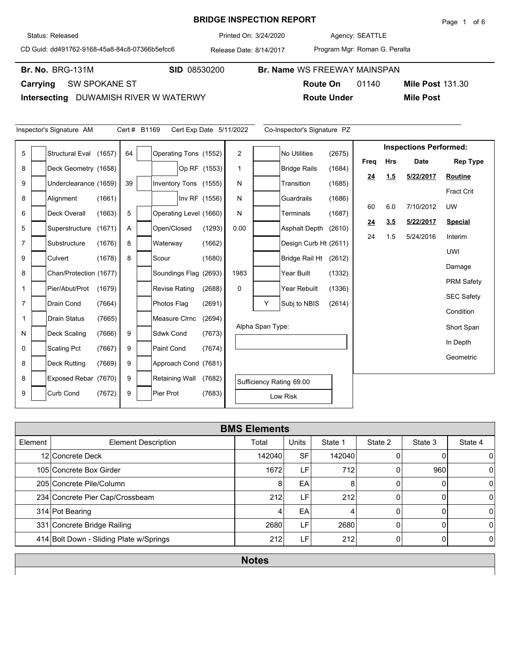#### **BRIDGE INSPECTION REPORT**

Agency: 3/24/2020 SEATTLE

**Route On** 01140

CD Guid: dd491762-9168-45a8-84c8-07366b5efcc6

Release Date: 8/14/2017 Printed On:

**Br. No. SID** 08530200 **Br. Name** WS FREEWAY MAINSPAN

Br. No. BRG-131M

**Carrying** SW SPOKANE ST

**Intersecting** DUWAMISH RIVER W WATERWY

| Inspector's Signature AM<br>Cert # B1169<br>Co-Inspector's Signature PZ<br>Cert Exp Date 5/11/2022 |  |                        |        |    |  |                        |               |                |                          |                       |        |           |            |                               |                   |
|----------------------------------------------------------------------------------------------------|--|------------------------|--------|----|--|------------------------|---------------|----------------|--------------------------|-----------------------|--------|-----------|------------|-------------------------------|-------------------|
| 5                                                                                                  |  | <b>Structural Eval</b> | (1657) | 64 |  | Operating Tons (1552)  |               | $\overline{2}$ |                          | <b>No Utilities</b>   | (2675) |           |            | <b>Inspections Performed:</b> |                   |
| 8                                                                                                  |  | Deck Geometry (1658)   |        |    |  |                        |               | $\mathbf 1$    |                          | <b>Bridge Rails</b>   | (1684) | Freq      | <b>Hrs</b> | <b>Date</b>                   | <b>Rep Type</b>   |
|                                                                                                    |  |                        |        |    |  |                        | Op RF (1553)  |                |                          |                       |        | <u>24</u> | 1.5        | 5/22/2017                     | <b>Routine</b>    |
| 9                                                                                                  |  | Underclearance (1659)  |        | 39 |  | Inventory Tons (1555)  |               | N              |                          | Transition            | (1685) |           |            |                               | <b>Fract Crit</b> |
| 8                                                                                                  |  | Alignment              | (1661) |    |  |                        | Inv RF (1556) | N              |                          | Guardrails            | (1686) | 60        | 6.0        | 7/10/2012                     | UW                |
| 6                                                                                                  |  | Deck Overall           | (1663) | 5  |  | Operating Level (1660) |               | N              |                          | Terminals             | (1687) | 24        | 3.5        | 5/22/2017                     | <b>Special</b>    |
| 5                                                                                                  |  | Superstructure         | (1671) | Α  |  | Open/Closed            | (1293)        | 0.00           |                          | <b>Asphalt Depth</b>  | (2610) | 24        | 1.5        | 5/24/2016                     |                   |
| 7                                                                                                  |  | Substructure           | (1676) | 8  |  | Waterway               | (1662)        |                |                          | Design Curb Ht (2611) |        |           |            |                               | Interim           |
| 9                                                                                                  |  | Culvert                | (1678) | 8  |  | Scour                  | (1680)        |                |                          | <b>Bridge Rail Ht</b> | (2612) |           |            |                               | <b>UWI</b>        |
| 8                                                                                                  |  | Chan/Protection (1677) |        |    |  | Soundings Flag (2693)  |               | 1983           |                          | Year Built            | (1332) |           |            |                               | Damage            |
| 1                                                                                                  |  | Pier/Abut/Prot         | (1679) |    |  | <b>Revise Rating</b>   | (2688)        | 0              |                          | Year Rebuilt          | (1336) |           |            |                               | <b>PRM Safety</b> |
| $\overline{7}$                                                                                     |  | Drain Cond             | (7664) |    |  | Photos Flag            | (2691)        |                | Y                        | Subj to NBIS          | (2614) |           |            |                               | <b>SEC Safety</b> |
| 1                                                                                                  |  | <b>Drain Status</b>    | (7665) |    |  | Measure Cirnc          | (2694)        |                |                          |                       |        |           |            |                               | Condition         |
|                                                                                                    |  |                        |        |    |  |                        |               |                | Alpha Span Type:         |                       |        |           |            |                               | Short Span        |
| N                                                                                                  |  | Deck Scaling           | (7666) | 9  |  | <b>Sdwk Cond</b>       | (7673)        |                |                          |                       |        | In Depth  |            |                               |                   |
| 0                                                                                                  |  | <b>Scaling Pct</b>     | (7667) | 9  |  | <b>Paint Cond</b>      | (7674)        |                |                          |                       |        |           |            | Geometric                     |                   |
| 8                                                                                                  |  | <b>Deck Rutting</b>    | (7669) | 9  |  | Approach Cond (7681)   |               |                |                          |                       |        |           |            |                               |                   |
| 8                                                                                                  |  | Exposed Rebar (7670)   |        | 9  |  | Retaining Wall         | (7682)        |                | Sufficiency Rating 69.00 |                       |        |           |            |                               |                   |
| 9                                                                                                  |  | <b>Curb Cond</b>       | (7672) | 9  |  | Pier Prot              | (7683)        |                |                          | Low Risk              |        |           |            |                               |                   |

| <b>BMS Elements</b> |                                         |        |              |         |         |         |                |  |  |  |
|---------------------|-----------------------------------------|--------|--------------|---------|---------|---------|----------------|--|--|--|
| Element             | <b>Element Description</b>              | Total  | <b>Units</b> | State 1 | State 2 | State 3 | State 4        |  |  |  |
|                     | 12 Concrete Deck                        | 142040 | <b>SF</b>    | 142040  |         |         | 0              |  |  |  |
|                     | 105 Concrete Box Girder                 | 1672   | LF           | 712     |         | 960     | $\overline{0}$ |  |  |  |
|                     | 205 Concrete Pile/Column                | 8      | EA           | 8       |         |         | $\Omega$       |  |  |  |
|                     | 234 Concrete Pier Cap/Crossbeam         | 212    | LF.          | 212     | U       |         | $\Omega$       |  |  |  |
|                     | 314 Pot Bearing                         | 4      | EA           | 4       |         |         | $\Omega$       |  |  |  |
|                     | 331 Concrete Bridge Railing             | 2680   | LF           | 2680    |         |         | $\Omega$       |  |  |  |
|                     | 414 Bolt Down - Sliding Plate w/Springs | 212    | LF'          | 212     |         |         | $\Omega$       |  |  |  |
|                     |                                         |        |              |         |         |         |                |  |  |  |

**Notes**

Program Mgr: Roman G. Peralta

**Route Under Mile Post**

**Mile Post 131.30** 

Status: Released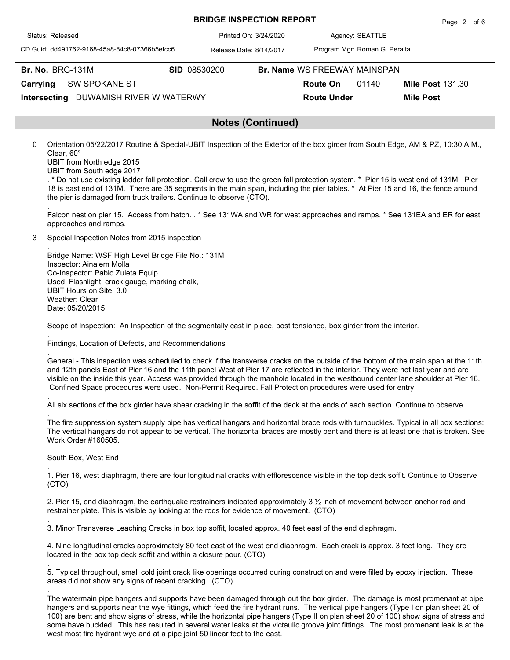| <b>BRIDGE INSPECTION REPORT</b> |  |
|---------------------------------|--|
|---------------------------------|--|

Agency: 3/24/2020 SEATTLE

CD Guid: dd491762-9168-45a8-84c8-07366b5efcc6

Release Date: 8/14/2017 Printed On:

**Br. No. BRG-131M** 

Status: Released

.

.

.

.

.

.

.

.

Program Mgr: Roman G. Peralta

**Br. No. SID** 08530200 **Br. Name** WS FREEWAY MAINSPAN

**Route On** 01140

**Route Under Mile Post**

**Mile Post 131.30** 

**Carrying** SW SPOKANE ST

**Intersecting** DUWAMISH RIVER W WATERWY

## **Notes (Continued)**

0 Orientation 05/22/2017 Routine & Special-UBIT Inspection of the Exterior of the box girder from South Edge, AM & PZ, 10:30 A.M., Clear, 60° .

UBIT from North edge 2015

UBIT from South edge 2017

. \* Do not use existing ladder fall protection. Call crew to use the green fall protection system. \* Pier 15 is west end of 131M. Pier 18 is east end of 131M. There are 35 segments in the main span, including the pier tables. \* At Pier 15 and 16, the fence around the pier is damaged from truck trailers. Continue to observe (CTO).

Falcon nest on pier 15. Access from hatch. . \* See 131WA and WR for west approaches and ramps. \* See 131EA and ER for east approaches and ramps.

3 Special Inspection Notes from 2015 inspection

Bridge Name: WSF High Level Bridge File No.: 131M Inspector: Ainalem Molla Co-Inspector: Pablo Zuleta Equip. Used: Flashlight, crack gauge, marking chalk, UBIT Hours on Site: 3.0 Weather: Clear Date: 05/20/2015

Scope of Inspection: An Inspection of the segmentally cast in place, post tensioned, box girder from the interior.

. Findings, Location of Defects, and Recommendations

General - This inspection was scheduled to check if the transverse cracks on the outside of the bottom of the main span at the 11th and 12th panels East of Pier 16 and the 11th panel West of Pier 17 are reflected in the interior. They were not last year and are visible on the inside this year. Access was provided through the manhole located in the westbound center lane shoulder at Pier 16. Confined Space procedures were used. Non-Permit Required. Fall Protection procedures were used for entry.

. All six sections of the box girder have shear cracking in the soffit of the deck at the ends of each section. Continue to observe.

The fire suppression system supply pipe has vertical hangars and horizontal brace rods with turnbuckles. Typical in all box sections: The vertical hangars do not appear to be vertical. The horizontal braces are mostly bent and there is at least one that is broken. See Work Order #160505.

. South Box, West End

1. Pier 16, west diaphragm, there are four longitudinal cracks with efflorescence visible in the top deck soffit. Continue to Observe (CTO)

. 2. Pier 15, end diaphragm, the earthquake restrainers indicated approximately  $3\frac{1}{2}$  inch of movement between anchor rod and restrainer plate. This is visible by looking at the rods for evidence of movement. (CTO)

3. Minor Transverse Leaching Cracks in box top soffit, located approx. 40 feet east of the end diaphragm.

4. Nine longitudinal cracks approximately 80 feet east of the west end diaphragm. Each crack is approx. 3 feet long. They are located in the box top deck soffit and within a closure pour. (CTO)

. 5. Typical throughout, small cold joint crack like openings occurred during construction and were filled by epoxy injection. These areas did not show any signs of recent cracking. (CTO)

. The watermain pipe hangers and supports have been damaged through out the box girder. The damage is most promenant at pipe hangers and supports near the wye fittings, which feed the fire hydrant runs. The vertical pipe hangers (Type I on plan sheet 20 of 100) are bent and show signs of stress, while the horizontal pipe hangers (Type II on plan sheet 20 of 100) show signs of stress and some have buckled. This has resulted in several water leaks at the victaulic groove joint fittings. The most promenant leak is at the west most fire hydrant wye and at a pipe joint 50 linear feet to the east.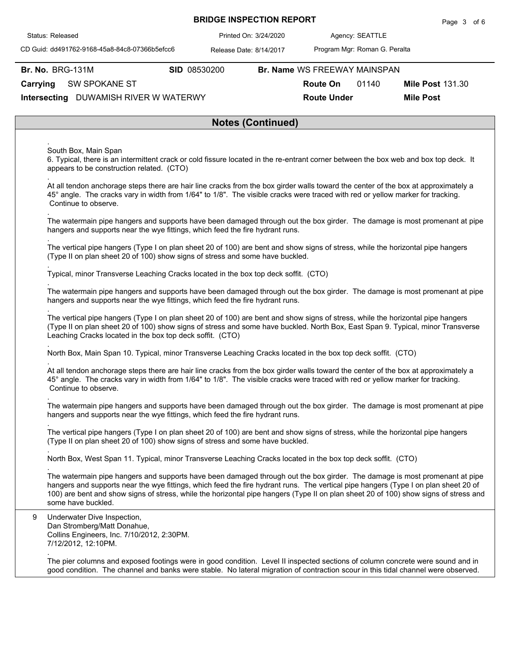|  | <b>BRIDGE INSPECTION REPORT</b> |  |
|--|---------------------------------|--|
|--|---------------------------------|--|

Agency: 3/24/2020 SEATTLE

CD Guid: dd491762-9168-45a8-84c8-07366b5efcc6

Release Date: 8/14/2017 Printed On:

Program Mgr: Roman G. Peralta

**Br. No. BRG-131M** 

Status: Released

.

.

.

.

.

.

.

.

.

.

.

.

.

**Br. No. SID** 08530200 **Br. Name** WS FREEWAY MAINSPAN

**Route On** 01140

**Mile Post 131.30** 

**Route Under Mile Post**

**Carrying** SW SPOKANE ST

**Intersecting** DUWAMISH RIVER W WATERWY

#### **Notes (Continued)**

South Box, Main Span

6. Typical, there is an intermittent crack or cold fissure located in the re-entrant corner between the box web and box top deck. It appears to be construction related. (CTO)

At all tendon anchorage steps there are hair line cracks from the box girder walls toward the center of the box at approximately a 45° angle. The cracks vary in width from 1/64" to 1/8". The visible cracks were traced with red or yellow marker for tracking. Continue to observe.

The watermain pipe hangers and supports have been damaged through out the box girder. The damage is most promenant at pipe hangers and supports near the wye fittings, which feed the fire hydrant runs.

The vertical pipe hangers (Type I on plan sheet 20 of 100) are bent and show signs of stress, while the horizontal pipe hangers (Type II on plan sheet 20 of 100) show signs of stress and some have buckled.

Typical, minor Transverse Leaching Cracks located in the box top deck soffit. (CTO)

The watermain pipe hangers and supports have been damaged through out the box girder. The damage is most promenant at pipe hangers and supports near the wye fittings, which feed the fire hydrant runs.

The vertical pipe hangers (Type I on plan sheet 20 of 100) are bent and show signs of stress, while the horizontal pipe hangers (Type II on plan sheet 20 of 100) show signs of stress and some have buckled. North Box, East Span 9. Typical, minor Transverse Leaching Cracks located in the box top deck soffit. (CTO)

North Box, Main Span 10. Typical, minor Transverse Leaching Cracks located in the box top deck soffit. (CTO)

At all tendon anchorage steps there are hair line cracks from the box girder walls toward the center of the box at approximately a 45° angle. The cracks vary in width from 1/64" to 1/8". The visible cracks were traced with red or yellow marker for tracking. Continue to observe.

The watermain pipe hangers and supports have been damaged through out the box girder. The damage is most promenant at pipe hangers and supports near the wye fittings, which feed the fire hydrant runs.

. The vertical pipe hangers (Type I on plan sheet 20 of 100) are bent and show signs of stress, while the horizontal pipe hangers (Type II on plan sheet 20 of 100) show signs of stress and some have buckled.

North Box, West Span 11. Typical, minor Transverse Leaching Cracks located in the box top deck soffit. (CTO)

The watermain pipe hangers and supports have been damaged through out the box girder. The damage is most promenant at pipe hangers and supports near the wye fittings, which feed the fire hydrant runs. The vertical pipe hangers (Type I on plan sheet 20 of 100) are bent and show signs of stress, while the horizontal pipe hangers (Type II on plan sheet 20 of 100) show signs of stress and some have buckled.

9 Underwater Dive Inspection, Dan Stromberg/Matt Donahue, Collins Engineers, Inc. 7/10/2012, 2:30PM. 7/12/2012, 12:10PM.

The pier columns and exposed footings were in good condition. Level II inspected sections of column concrete were sound and in good condition. The channel and banks were stable. No lateral migration of contraction scour in this tidal channel were observed.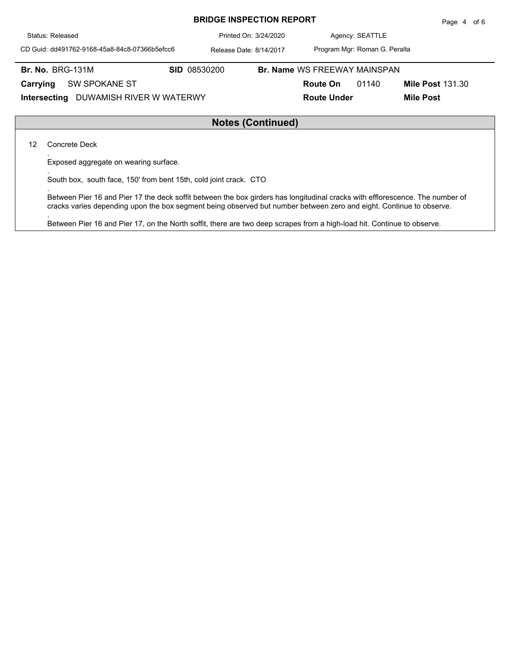| Status: Released                              | Printed On: 3/24/2020   |  |                                     | Agency: SEATTLE               |                         |  |  |  |
|-----------------------------------------------|-------------------------|--|-------------------------------------|-------------------------------|-------------------------|--|--|--|
| CD Guid: dd491762-9168-45a8-84c8-07366b5efcc6 | Release Date: 8/14/2017 |  |                                     | Program Mgr: Roman G. Peralta |                         |  |  |  |
| <b>Br. No. BRG-131M</b>                       | <b>SID 08530200</b>     |  | <b>Br. Name WS FREEWAY MAINSPAN</b> |                               |                         |  |  |  |
| Carrying<br><b>SW SPOKANE ST</b>              |                         |  | <b>Route On</b>                     | 01140                         | <b>Mile Post 131.30</b> |  |  |  |
| DUWAMISH RIVER W WATERWY<br>Intersecting      |                         |  | <b>Route Under</b>                  |                               | <b>Mile Post</b>        |  |  |  |
|                                               |                         |  |                                     |                               |                         |  |  |  |
| $\mathbf{N}$                                  |                         |  |                                     |                               |                         |  |  |  |

## **Notes (Continued)**

12 Concrete Deck

.

.

.

.

Exposed aggregate on wearing surface.

South box, south face, 150' from bent 15th, cold joint crack. CTO

Between Pier 16 and Pier 17 the deck soffit between the box girders has longitudinal cracks with efflorescence. The number of cracks varies depending upon the box segment being observed but number between zero and eight. Continue to observe.

Between Pier 16 and Pier 17, on the North soffit, there are two deep scrapes from a high-load hit. Continue to observe.

# **BRIDGE INSPECTION REPORT**

Page 4 of 6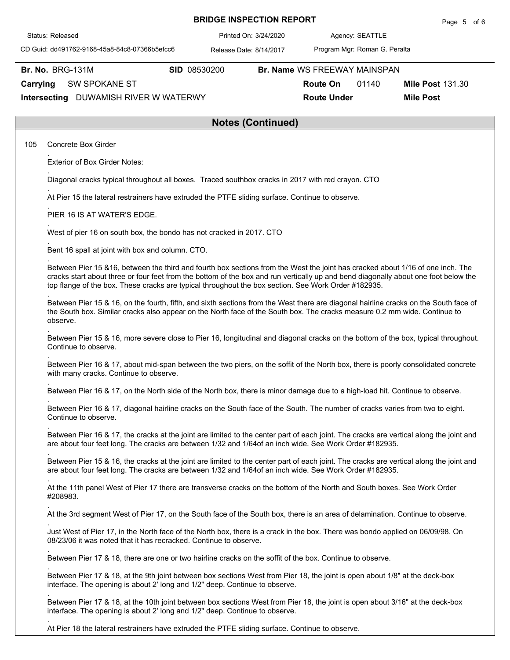|          | Status: Released                                                                                                                                                                                                                                                                                                                                                             |                                                                                                                               | Printed On: 3/24/2020                                                                                                          |                                | Agency: SEATTLE<br>Program Mgr: Roman G. Peralta |                                             |  |  |  |  |  |  |
|----------|------------------------------------------------------------------------------------------------------------------------------------------------------------------------------------------------------------------------------------------------------------------------------------------------------------------------------------------------------------------------------|-------------------------------------------------------------------------------------------------------------------------------|--------------------------------------------------------------------------------------------------------------------------------|--------------------------------|--------------------------------------------------|---------------------------------------------|--|--|--|--|--|--|
|          | CD Guid: dd491762-9168-45a8-84c8-07366b5efcc6                                                                                                                                                                                                                                                                                                                                |                                                                                                                               | Release Date: 8/14/2017                                                                                                        |                                |                                                  |                                             |  |  |  |  |  |  |
|          | <b>Br. No. BRG-131M</b>                                                                                                                                                                                                                                                                                                                                                      | SID 08530200                                                                                                                  |                                                                                                                                |                                | Br. Name WS FREEWAY MAINSPAN                     |                                             |  |  |  |  |  |  |
| Carrying | <b>SW SPOKANE ST</b><br>Intersecting DUWAMISH RIVER W WATERWY                                                                                                                                                                                                                                                                                                                |                                                                                                                               |                                                                                                                                | Route On<br><b>Route Under</b> | 01140                                            | <b>Mile Post 131.30</b><br><b>Mile Post</b> |  |  |  |  |  |  |
|          |                                                                                                                                                                                                                                                                                                                                                                              |                                                                                                                               | <b>Notes (Continued)</b>                                                                                                       |                                |                                                  |                                             |  |  |  |  |  |  |
| 105      | Concrete Box Girder                                                                                                                                                                                                                                                                                                                                                          |                                                                                                                               |                                                                                                                                |                                |                                                  |                                             |  |  |  |  |  |  |
|          | <b>Exterior of Box Girder Notes:</b>                                                                                                                                                                                                                                                                                                                                         |                                                                                                                               |                                                                                                                                |                                |                                                  |                                             |  |  |  |  |  |  |
|          | Diagonal cracks typical throughout all boxes. Traced southbox cracks in 2017 with red crayon. CTO                                                                                                                                                                                                                                                                            |                                                                                                                               |                                                                                                                                |                                |                                                  |                                             |  |  |  |  |  |  |
|          | At Pier 15 the lateral restrainers have extruded the PTFE sliding surface. Continue to observe.                                                                                                                                                                                                                                                                              |                                                                                                                               |                                                                                                                                |                                |                                                  |                                             |  |  |  |  |  |  |
|          | PIER 16 IS AT WATER'S EDGE.                                                                                                                                                                                                                                                                                                                                                  |                                                                                                                               |                                                                                                                                |                                |                                                  |                                             |  |  |  |  |  |  |
|          | West of pier 16 on south box, the bondo has not cracked in 2017. CTO                                                                                                                                                                                                                                                                                                         |                                                                                                                               |                                                                                                                                |                                |                                                  |                                             |  |  |  |  |  |  |
|          | Bent 16 spall at joint with box and column. CTO.                                                                                                                                                                                                                                                                                                                             |                                                                                                                               |                                                                                                                                |                                |                                                  |                                             |  |  |  |  |  |  |
|          | Between Pier 15 &16, between the third and fourth box sections from the West the joint has cracked about 1/16 of one inch. The<br>cracks start about three or four feet from the bottom of the box and run vertically up and bend diagonally about one foot below the<br>top flange of the box. These cracks are typical throughout the box section. See Work Order #182935. |                                                                                                                               |                                                                                                                                |                                |                                                  |                                             |  |  |  |  |  |  |
|          | Between Pier 15 & 16, on the fourth, fifth, and sixth sections from the West there are diagonal hairline cracks on the South face of<br>the South box. Similar cracks also appear on the North face of the South box. The cracks measure 0.2 mm wide. Continue to<br>observe.                                                                                                |                                                                                                                               |                                                                                                                                |                                |                                                  |                                             |  |  |  |  |  |  |
|          | Between Pier 15 & 16, more severe close to Pier 16, longitudinal and diagonal cracks on the bottom of the box, typical throughout.<br>Continue to observe.                                                                                                                                                                                                                   |                                                                                                                               |                                                                                                                                |                                |                                                  |                                             |  |  |  |  |  |  |
|          | Between Pier 16 & 17, about mid-span between the two piers, on the soffit of the North box, there is poorly consolidated concrete<br>with many cracks. Continue to observe.                                                                                                                                                                                                  |                                                                                                                               |                                                                                                                                |                                |                                                  |                                             |  |  |  |  |  |  |
|          | Between Pier 16 & 17, on the North side of the North box, there is minor damage due to a high-load hit. Continue to observe.                                                                                                                                                                                                                                                 |                                                                                                                               |                                                                                                                                |                                |                                                  |                                             |  |  |  |  |  |  |
|          | Continue to observe.                                                                                                                                                                                                                                                                                                                                                         | Between Pier 16 & 17, diagonal hairline cracks on the South face of the South. The number of cracks varies from two to eight. |                                                                                                                                |                                |                                                  |                                             |  |  |  |  |  |  |
|          | Between Pier 16 & 17, the cracks at the joint are limited to the center part of each joint. The cracks are vertical along the joint and<br>are about four feet long. The cracks are between 1/32 and 1/64of an inch wide. See Work Order #182935.                                                                                                                            |                                                                                                                               |                                                                                                                                |                                |                                                  |                                             |  |  |  |  |  |  |
|          | Between Pier 15 & 16, the cracks at the joint are limited to the center part of each joint. The cracks are vertical along the joint and<br>are about four feet long. The cracks are between 1/32 and 1/64of an inch wide. See Work Order #182935.                                                                                                                            |                                                                                                                               |                                                                                                                                |                                |                                                  |                                             |  |  |  |  |  |  |
|          | At the 11th panel West of Pier 17 there are transverse cracks on the bottom of the North and South boxes. See Work Order<br>#208983.                                                                                                                                                                                                                                         |                                                                                                                               |                                                                                                                                |                                |                                                  |                                             |  |  |  |  |  |  |
|          | At the 3rd segment West of Pier 17, on the South face of the South box, there is an area of delamination. Continue to observe.                                                                                                                                                                                                                                               |                                                                                                                               |                                                                                                                                |                                |                                                  |                                             |  |  |  |  |  |  |
|          | 08/23/06 it was noted that it has recracked. Continue to observe.                                                                                                                                                                                                                                                                                                            |                                                                                                                               | Just West of Pier 17, in the North face of the North box, there is a crack in the box. There was bondo applied on 06/09/98. On |                                |                                                  |                                             |  |  |  |  |  |  |
|          | Between Pier 17 & 18, there are one or two hairline cracks on the soffit of the box. Continue to observe.                                                                                                                                                                                                                                                                    |                                                                                                                               |                                                                                                                                |                                |                                                  |                                             |  |  |  |  |  |  |
|          | Between Pier 17 & 18, at the 9th joint between box sections West from Pier 18, the joint is open about 1/8" at the deck-box<br>interface. The opening is about 2' long and 1/2" deep. Continue to observe.                                                                                                                                                                   |                                                                                                                               |                                                                                                                                |                                |                                                  |                                             |  |  |  |  |  |  |
|          | Between Pier 17 & 18, at the 10th joint between box sections West from Pier 18, the joint is open about 3/16" at the deck-box<br>interface. The opening is about 2' long and 1/2" deep. Continue to observe.                                                                                                                                                                 |                                                                                                                               |                                                                                                                                |                                |                                                  |                                             |  |  |  |  |  |  |

**BRIDGE INSPECTION REPORT**

Page 5 of 6

At Pier 18 the lateral restrainers have extruded the PTFE sliding surface. Continue to observe.

.